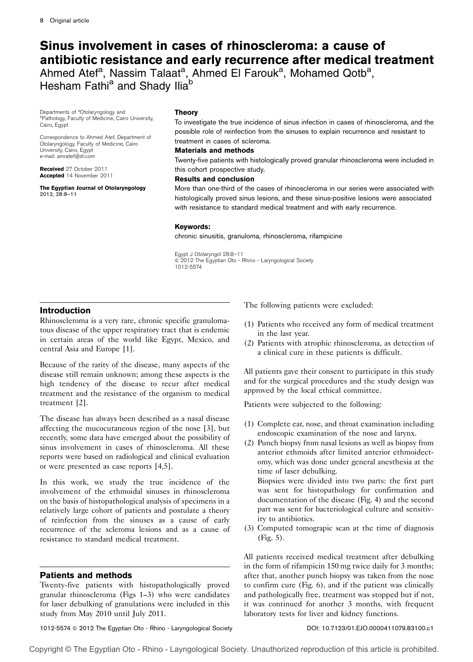# Sinus involvement in cases of rhinoscleroma: a cause of antibiotic resistance and early recurrence after medical treatment

Ahmed Atef<sup>a</sup>, Nassim Talaat<sup>a</sup>, Ahmed El Farouk<sup>a</sup>, Mohamed Qotb<sup>a</sup>, Hesham Fathi<sup>a</sup> and Shady Ilia<sup>b</sup>

Departments of <sup>a</sup>Otolaryngology and<br><sup>b</sup>Pathology Eaculty of Medicine, Cair bPathology, Faculty of Medicine, Cairo University, Cairo, Egypt

Correspondence to Ahmed Atef, Department of Otolaryngology, Faculty of Medicine, Cairo University, Cairo, Egypt e-mail: amratef@dr.com

Received 27 October 2011 Accepted 14 November 2011

The Egyptian Journal of Otolaryngology 2012, 28:8–11

## Theory

To investigate the true incidence of sinus infection in cases of rhinoscleroma, and the possible role of reinfection from the sinuses to explain recurrence and resistant to treatment in cases of scleroma.

## Materials and methods

Twenty-five patients with histologically proved granular rhinoscleroma were included in this cohort prospective study.

## Results and conclusion

More than one-third of the cases of rhinoscleroma in our series were associated with histologically proved sinus lesions, and these sinus-positive lesions were associated with resistance to standard medical treatment and with early recurrence.

## Keywords:

chronic sinusitis, granuloma, rhinoscleroma, rifampicine

Egypt J Otolaryngol 28:8–11  $\circ$  2012 The Egyptian Oto - Rhino - Laryngological Society 1012-5574

# Introduction

Rhinoscleroma is a very rare, chronic specific granulomatous disease of the upper respiratory tract that is endemic in certain areas of the world like Egypt, Mexico, and central Asia and Europe [1].

Because of the rarity of the disease, many aspects of the disease still remain unknown; among these aspects is the high tendency of the disease to recur after medical treatment and the resistance of the organism to medical treatment [2].

The disease has always been described as a nasal disease affecting the mucocutaneous region of the nose [3], but recently, some data have emerged about the possibility of sinus involvement in cases of rhinoscleroma. All these reports were based on radiological and clinical evaluation or were presented as case reports [4,5].

In this work, we study the true incidence of the involvement of the ethmoidal sinuses in rhinoscleroma on the basis of histopathological analysis of specimens in a relatively large cohort of patients and postulate a theory of reinfection from the sinuses as a cause of early recurrence of the scleroma lesions and as a cause of resistance to standard medical treatment.

# Patients and methods

Twenty-five patients with histopathologically proved granular rhinoscleroma (Figs 1–3) who were candidates for laser debulking of granulations were included in this study from May 2010 until July 2011.

The following patients were excluded:

- (1) Patients who received any form of medical treatment in the last year.
- (2) Patients with atrophic rhinoscleroma, as detection of a clinical cure in these patients is difficult.

All patients gave their consent to participate in this study and for the surgical procedures and the study design was approved by the local ethical committee.

Patients were subjected to the following:

- (1) Complete ear, nose, and throat examination including endoscopic examination of the nose and larynx.
- (2) Punch biopsy from nasal lesions as well as biopsy from anterior ethmoids after limited anterior ethmoidectomy, which was done under general anesthesia at the time of laser debulking.

Biopsies were divided into two parts: the first part was sent for histopathology for confirmation and documentation of the disease (Fig. 4) and the second part was sent for bacteriological culture and sensitivity to antibiotics.

(3) Computed tomograpic scan at the time of diagnosis (Fig. 5).

All patients received medical treatment after debulking in the form of rifampicin 150 mg twice daily for 3 months; after that, another punch biopsy was taken from the nose to confirm cure (Fig. 6), and if the patient was clinically and pathologically free, treatment was stopped but if not, it was continued for another 3 months, with frequent laboratory tests for liver and kidney functions.

1012-5574 @ 2012 The Egyptian Oto - Rhino - Laryngological Society **DIMA: New York: 10.7123/01.EJO.0000411079.83100.c1**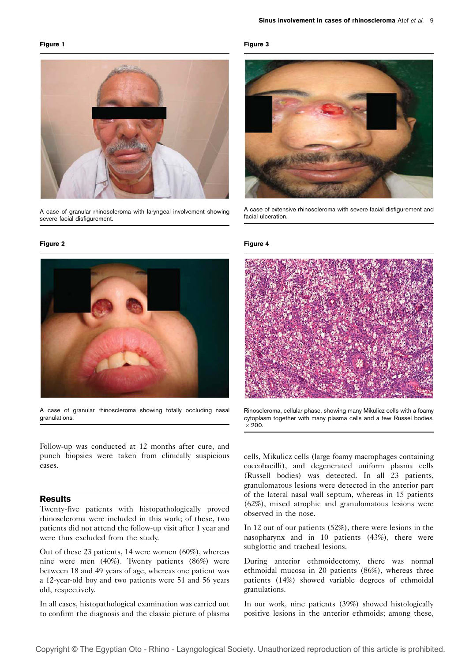#### Figure 1



A case of granular rhinoscleroma with laryngeal involvement showing severe facial disfigurement.

#### Figure 2



A case of granular rhinoscleroma showing totally occluding nasal granulations.

Follow-up was conducted at 12 months after cure, and punch biopsies were taken from clinically suspicious cases.

## Results

Twenty-five patients with histopathologically proved rhinoscleroma were included in this work; of these, two patients did not attend the follow-up visit after 1 year and were thus excluded from the study.

Out of these 23 patients, 14 were women (60%), whereas nine were men (40%). Twenty patients (86%) were between 18 and 49 years of age, whereas one patient was a 12-year-old boy and two patients were 51 and 56 years old, respectively.

In all cases, histopathological examination was carried out to confirm the diagnosis and the classic picture of plasma

#### Figure 3



A case of extensive rhinoscleroma with severe facial disfigurement and facial ulceration.

#### Figure 4



Rinoscleroma, cellular phase, showing many Mikulicz cells with a foamy cytoplasm together with many plasma cells and a few Russel bodies,  $\times$  200.

cells, Mikulicz cells (large foamy macrophages containing coccobacilli), and degenerated uniform plasma cells (Russell bodies) was detected. In all 23 patients, granulomatous lesions were detected in the anterior part of the lateral nasal wall septum, whereas in 15 patients (62%), mixed atrophic and granulomatous lesions were observed in the nose.

In 12 out of our patients (52%), there were lesions in the nasopharynx and in 10 patients (43%), there were subglottic and tracheal lesions.

During anterior ethmoidectomy, there was normal ethmoidal mucosa in 20 patients (86%), whereas three patients (14%) showed variable degrees of ethmoidal granulations.

In our work, nine patients (39%) showed histologically positive lesions in the anterior ethmoids; among these,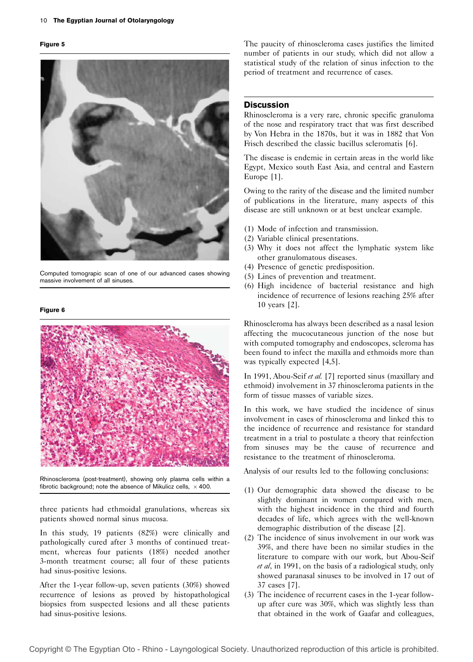#### Figure 5



Computed tomograpic scan of one of our advanced cases showing massive involvement of all sinuses.

#### Figure 6



Rhinoscleroma (post-treatment), showing only plasma cells within a fibrotic background; note the absence of Mikulicz cells,  $\times$  400.

three patients had ethmoidal granulations, whereas six patients showed normal sinus mucosa.

In this study, 19 patients (82%) were clinically and pathologically cured after 3 months of continued treatment, whereas four patients (18%) needed another 3-month treatment course; all four of these patients had sinus-positive lesions.

After the 1-year follow-up, seven patients (30%) showed recurrence of lesions as proved by histopathological biopsies from suspected lesions and all these patients had sinus-positive lesions.

The paucity of rhinoscleroma cases justifies the limited number of patients in our study, which did not allow a statistical study of the relation of sinus infection to the period of treatment and recurrence of cases.

### **Discussion**

Rhinoscleroma is a very rare, chronic specific granuloma of the nose and respiratory tract that was first described by Von Hebra in the 1870s, but it was in 1882 that Von Frisch described the classic bacillus scleromatis [6].

The disease is endemic in certain areas in the world like Egypt, Mexico south East Asia, and central and Eastern Europe [1].

Owing to the rarity of the disease and the limited number of publications in the literature, many aspects of this disease are still unknown or at best unclear example.

- (1) Mode of infection and transmission.
- (2) Variable clinical presentations.
- (3) Why it does not affect the lymphatic system like other granulomatous diseases.
- (4) Presence of genetic predisposition.
- (5) Lines of prevention and treatment.
- (6) High incidence of bacterial resistance and high incidence of recurrence of lesions reaching 25% after 10 years [2].

Rhinoscleroma has always been described as a nasal lesion affecting the mucocutaneous junction of the nose but with computed tomography and endoscopes, scleroma has been found to infect the maxilla and ethmoids more than was typically expected [4,5].

In 1991, Abou-Seif et al. [7] reported sinus (maxillary and ethmoid) involvement in 37 rhinoscleroma patients in the form of tissue masses of variable sizes.

In this work, we have studied the incidence of sinus involvement in cases of rhinoscleroma and linked this to the incidence of recurrence and resistance for standard treatment in a trial to postulate a theory that reinfection from sinuses may be the cause of recurrence and resistance to the treatment of rhinoscleroma.

Analysis of our results led to the following conclusions:

- (1) Our demographic data showed the disease to be slightly dominant in women compared with men, with the highest incidence in the third and fourth decades of life, which agrees with the well-known demographic distribution of the disease [2].
- (2) The incidence of sinus involvement in our work was 39%, and there have been no similar studies in the literature to compare with our work, but Abou-Seif et al, in 1991, on the basis of a radiological study, only showed paranasal sinuses to be involved in 17 out of 37 cases [7].
- (3) The incidence of recurrent cases in the 1-year followup after cure was 30%, which was slightly less than that obtained in the work of Gaafar and colleagues,